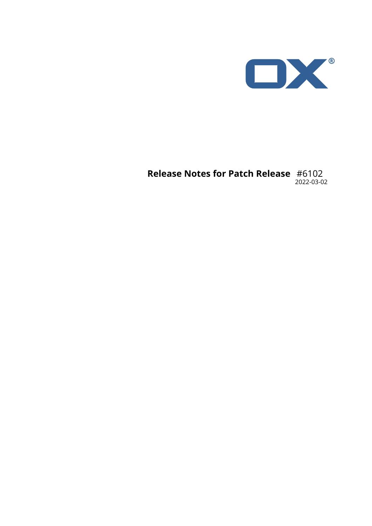

### **Release Notes for Patch Release** #6102 2022-03-02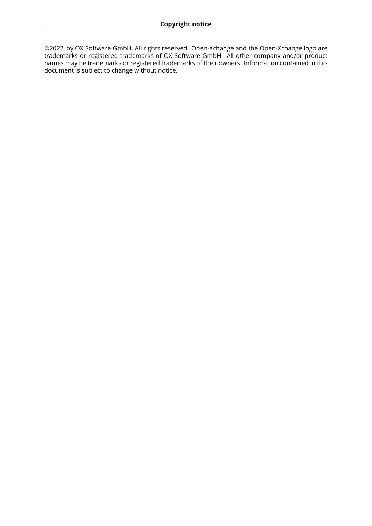©2022 by OX Software GmbH. All rights reserved. Open-Xchange and the Open-Xchange logo are trademarks or registered trademarks of OX Software GmbH. All other company and/or product names may be trademarks or registered trademarks of their owners. Information contained in this document is subject to change without notice.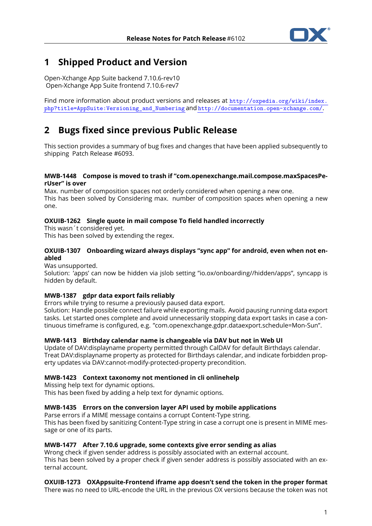

# **1 Shipped Product and Version**

Open-Xchange App Suite backend 7.10.6-rev10 Open-Xchange App Suite frontend 7.10.6-rev7

Find more information about product versions and releases at [http://oxpedia.org/wiki/index.](http://oxpedia.org/wiki/index.php?title=AppSuite:Versioning_and_Numbering) [php?title=AppSuite:Versioning\\_and\\_Numbering](http://oxpedia.org/wiki/index.php?title=AppSuite:Versioning_and_Numbering) and <http://documentation.open-xchange.com/>.

# **2 Bugs fixed since previous Public Release**

This section provides a summary of bug fixes and changes that have been applied subsequently to shipping Patch Release #6093.

#### **MWB-1448 Compose is moved to trash if "com.openexchange.mail.compose.maxSpacesPerUser" is over**

Max. number of composition spaces not orderly considered when opening a new one. This has been solved by Considering max. number of composition spaces when opening a new one.

### **OXUIB-1262 Single quote in mail compose To field handled incorrectly**

This wasn´t considered yet. This has been solved by extending the regex.

### **OXUIB-1307 Onboarding wizard always displays "sync app" for android, even when not enabled**

Was unsupported.

Solution: 'apps' can now be hidden via jslob setting "io.ox/onboarding//hidden/apps", syncapp is hidden by default.

### **MWB-1387 gdpr data export fails reliably**

Errors while trying to resume a previously paused data export.

Solution: Handle possible connect failure while exporting mails. Avoid pausing running data export tasks. Let started ones complete and avoid unnecessarily stopping data export tasks in case a continuous timeframe is configured, e.g. "com.openexchange.gdpr.dataexport.schedule=Mon-Sun".

#### **MWB-1413 Birthday calendar name is changeable via DAV but not in Web UI**

Update of DAV:displayname property permitted through CalDAV for default Birthdays calendar. Treat DAV:displayname property as protected for Birthdays calendar, and indicate forbidden property updates via DAV:cannot-modify-protected-property precondition.

#### **MWB-1423 Context taxonomy not mentioned in cli onlinehelp**

Missing help text for dynamic options. This has been fixed by adding a help text for dynamic options.

#### **MWB-1435 Errors on the conversion layer API used by mobile applications**

Parse errors if a MIME message contains a corrupt Content-Type string. This has been fixed by sanitizing Content-Type string in case a corrupt one is present in MIME message or one of its parts.

#### **MWB-1477 After 7.10.6 upgrade, some contexts give error sending as alias**

Wrong check if given sender address is possibly associated with an external account. This has been solved by a proper check if given sender address is possibly associated with an external account.

**OXUIB-1273 OXAppsuite-Frontend iframe app doesn't send the token in the proper format** There was no need to URL-encode the URL in the previous OX versions because the token was not